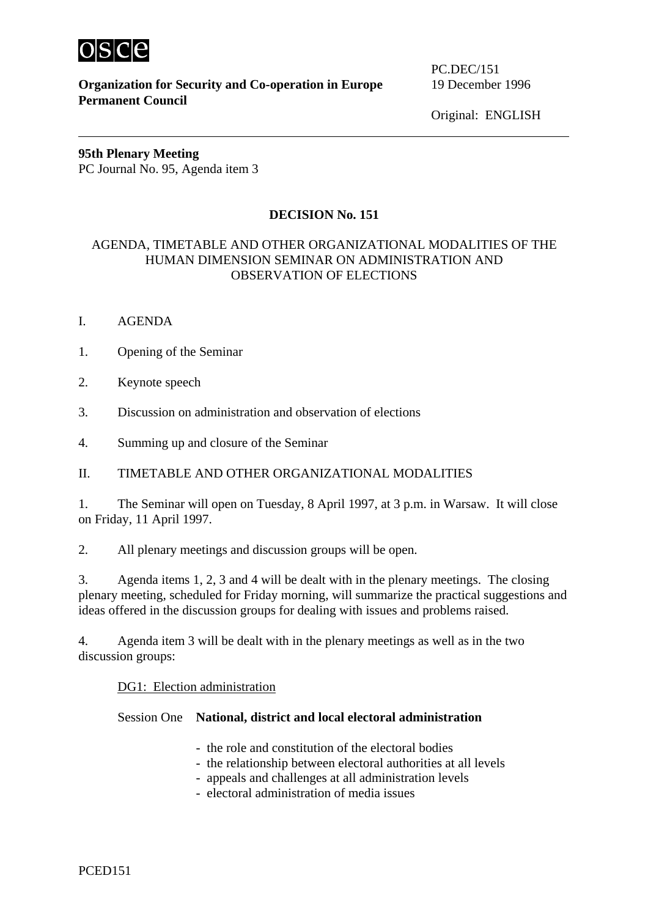

**Organization for Security and Co-operation in Europe** 19 December 1996 **Permanent Council** 

PC.DEC/151

Original: ENGLISH

# **95th Plenary Meeting**  PC Journal No. 95, Agenda item 3

# **DECISION No. 151**

# AGENDA, TIMETABLE AND OTHER ORGANIZATIONAL MODALITIES OF THE HUMAN DIMENSION SEMINAR ON ADMINISTRATION AND OBSERVATION OF ELECTIONS

- I. AGENDA
- 1. Opening of the Seminar
- 2. Keynote speech
- 3. Discussion on administration and observation of elections
- 4. Summing up and closure of the Seminar

# II. TIMETABLE AND OTHER ORGANIZATIONAL MODALITIES

1. The Seminar will open on Tuesday, 8 April 1997, at 3 p.m. in Warsaw. It will close on Friday, 11 April 1997.

2. All plenary meetings and discussion groups will be open.

3. Agenda items 1, 2, 3 and 4 will be dealt with in the plenary meetings. The closing plenary meeting, scheduled for Friday morning, will summarize the practical suggestions and ideas offered in the discussion groups for dealing with issues and problems raised.

4. Agenda item 3 will be dealt with in the plenary meetings as well as in the two discussion groups:

## DG1: Election administration

## Session One **National, district and local electoral administration**

- the role and constitution of the electoral bodies
- the relationship between electoral authorities at all levels
- appeals and challenges at all administration levels
- electoral administration of media issues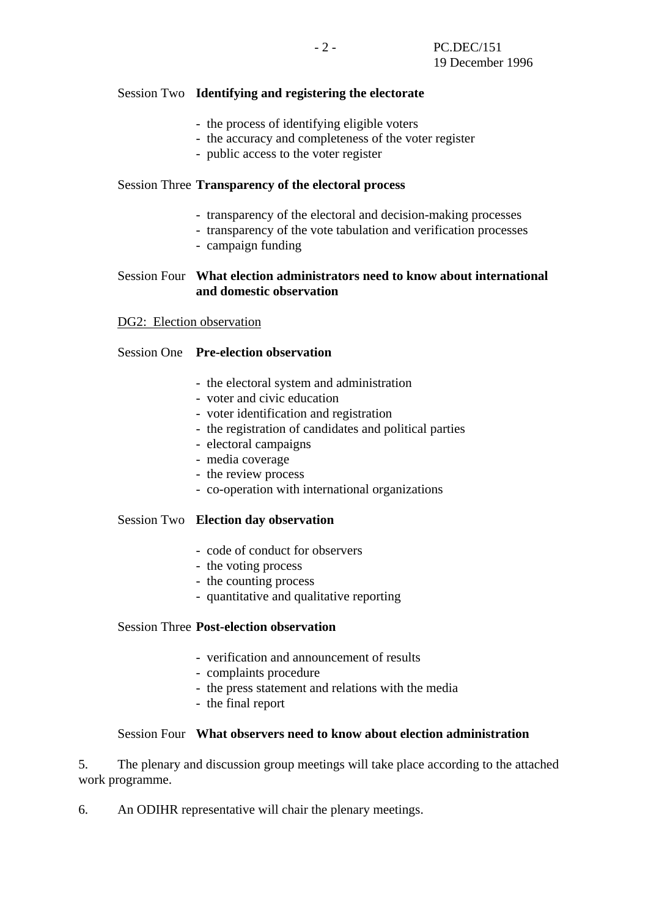## Session Two **Identifying and registering the electorate**

- the process of identifying eligible voters
- the accuracy and completeness of the voter register
- public access to the voter register

## Session Three **Transparency of the electoral process**

- transparency of the electoral and decision-making processes
- transparency of the vote tabulation and verification processes
- campaign funding

## Session Four **What election administrators need to know about international and domestic observation**

### DG2: Election observation

## Session One **Pre-election observation**

- the electoral system and administration
- voter and civic education
- voter identification and registration
- the registration of candidates and political parties
- electoral campaigns
- media coverage
- the review process
- co-operation with international organizations

### Session Two **Election day observation**

- code of conduct for observers
- the voting process
- the counting process
- quantitative and qualitative reporting

## Session Three **Post-election observation**

- verification and announcement of results
- complaints procedure
- the press statement and relations with the media
- the final report

### Session Four **What observers need to know about election administration**

5. The plenary and discussion group meetings will take place according to the attached work programme.

6. An ODIHR representative will chair the plenary meetings.